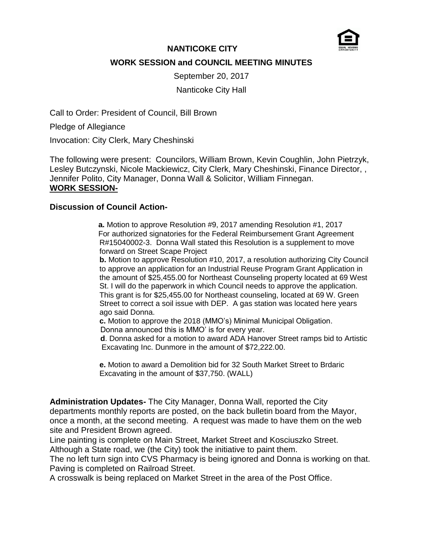

## **NANTICOKE CITY WORK SESSION and COUNCIL MEETING MINUTES**

September 20, 2017 Nanticoke City Hall

Call to Order: President of Council, Bill Brown

Pledge of Allegiance

Invocation: City Clerk, Mary Cheshinski

The following were present: Councilors, William Brown, Kevin Coughlin, John Pietrzyk, Lesley Butczynski, Nicole Mackiewicz, City Clerk, Mary Cheshinski, Finance Director, , Jennifer Polito, City Manager, Donna Wall & Solicitor, William Finnegan. **WORK SESSION-**

### **Discussion of Council Action-**

 **a.** Motion to approve Resolution #9, 2017 amending Resolution #1, 2017 For authorized signatories for the Federal Reimbursement Grant Agreement R#15040002-3. Donna Wall stated this Resolution is a supplement to move forward on Street Scape Project

**b.** Motion to approve Resolution #10, 2017, a resolution authorizing City Council to approve an application for an Industrial Reuse Program Grant Application in the amount of \$25,455.00 for Northeast Counseling property located at 69 West St. I will do the paperwork in which Council needs to approve the application. This grant is for \$25,455.00 for Northeast counseling, located at 69 W. Green Street to correct a soil issue with DEP. A gas station was located here years ago said Donna.

**c.** Motion to approve the 2018 (MMO's) Minimal Municipal Obligation. Donna announced this is MMO' is for every year.

 **d**. Donna asked for a motion to award ADA Hanover Street ramps bid to Artistic Excavating Inc. Dunmore in the amount of \$72,222.00.

**e.** Motion to award a Demolition bid for 32 South Market Street to Brdaric Excavating in the amount of \$37,750. (WALL)

**Administration Updates-** The City Manager, Donna Wall, reported the City departments monthly reports are posted, on the back bulletin board from the Mayor, once a month, at the second meeting. A request was made to have them on the web site and President Brown agreed.

Line painting is complete on Main Street, Market Street and Kosciuszko Street. Although a State road, we (the City) took the initiative to paint them.

The no left turn sign into CVS Pharmacy is being ignored and Donna is working on that. Paving is completed on Railroad Street.

A crosswalk is being replaced on Market Street in the area of the Post Office.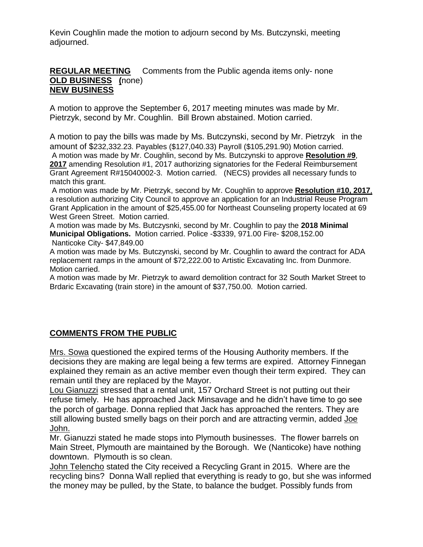Kevin Coughlin made the motion to adjourn second by Ms. Butczynski, meeting adjourned.

#### **REGULAR MEETING** Comments from the Public agenda items only- none **OLD BUSINESS (**none) **NEW BUSINESS**

A motion to approve the September 6, 2017 meeting minutes was made by Mr. Pietrzyk, second by Mr. Coughlin. Bill Brown abstained. Motion carried.

A motion to pay the bills was made by Ms. Butczynski, second by Mr. Pietrzyk in the amount of \$232,332.23. Payables (\$127,040.33) Payroll (\$105,291.90) Motion carried. A motion was made by Mr. Coughlin, second by Ms. Butczynski to approve **Resolution #9**, **2017** amending Resolution #1, 2017 authorizing signatories for the Federal Reimbursement Grant Agreement R#15040002-3. Motion carried. (NECS) provides all necessary funds to match this grant.

A motion was made by Mr. Pietrzyk, second by Mr. Coughlin to approve **Resolution #10, 2017**, a resolution authorizing City Council to approve an application for an Industrial Reuse Program Grant Application in the amount of \$25,455.00 for Northeast Counseling property located at 69 West Green Street. Motion carried.

A motion was made by Ms. Butczysnki, second by Mr. Coughlin to pay the **2018 Minimal Municipal Obligations.** Motion carried. Police -\$3339, 971.00 Fire- \$208,152.00 Nanticoke City- \$47,849.00

A motion was made by Ms. Butczynski, second by Mr. Coughlin to award the contract for ADA replacement ramps in the amount of \$72,222.00 to Artistic Excavating Inc. from Dunmore. Motion carried.

A motion was made by Mr. Pietrzyk to award demolition contract for 32 South Market Street to Brdaric Excavating (train store) in the amount of \$37,750.00. Motion carried.

# **COMMENTS FROM THE PUBLIC**

Mrs. Sowa questioned the expired terms of the Housing Authority members. If the decisions they are making are legal being a few terms are expired. Attorney Finnegan explained they remain as an active member even though their term expired. They can remain until they are replaced by the Mayor.

Lou Gianuzzi stressed that a rental unit, 157 Orchard Street is not putting out their refuse timely. He has approached Jack Minsavage and he didn't have time to go see the porch of garbage. Donna replied that Jack has approached the renters. They are still allowing busted smelly bags on their porch and are attracting vermin, added Joe John.

Mr. Gianuzzi stated he made stops into Plymouth businesses. The flower barrels on Main Street, Plymouth are maintained by the Borough. We (Nanticoke) have nothing downtown. Plymouth is so clean.

John Telencho stated the City received a Recycling Grant in 2015. Where are the recycling bins? Donna Wall replied that everything is ready to go, but she was informed the money may be pulled, by the State, to balance the budget. Possibly funds from